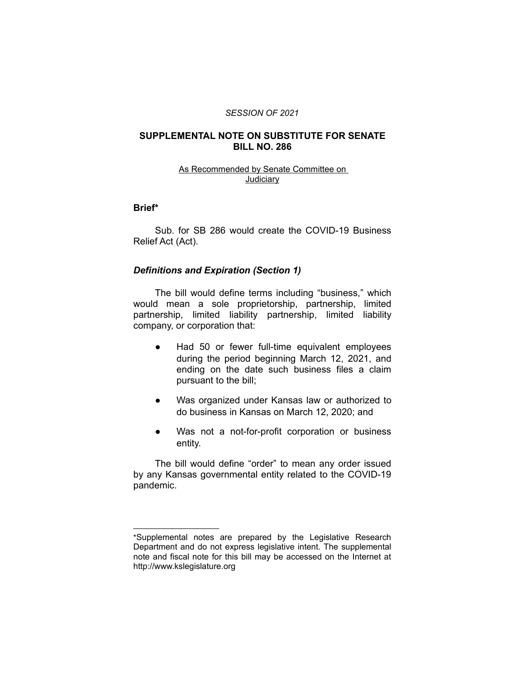#### *SESSION OF 2021*

## **SUPPLEMENTAL NOTE ON SUBSTITUTE FOR SENATE BILL NO. 286**

### As Recommended by Senate Committee on Judiciary

# **Brief\***

Sub. for SB 286 would create the COVID-19 Business Relief Act (Act).

## *Definitions and Expiration (Section 1)*

The bill would define terms including "business," which would mean a sole proprietorship, partnership, limited partnership, limited liability partnership, limited liability company, or corporation that:

- Had 50 or fewer full-time equivalent employees during the period beginning March 12, 2021, and ending on the date such business files a claim pursuant to the bill;
- Was organized under Kansas law or authorized to do business in Kansas on March 12, 2020; and
- Was not a not-for-profit corporation or business entity.

The bill would define "order" to mean any order issued by any Kansas governmental entity related to the COVID-19 pandemic.

 $\overline{\phantom{a}}$  , where  $\overline{\phantom{a}}$  , where  $\overline{\phantom{a}}$ 

<sup>\*</sup>Supplemental notes are prepared by the Legislative Research Department and do not express legislative intent. The supplemental note and fiscal note for this bill may be accessed on the Internet at http://www.kslegislature.org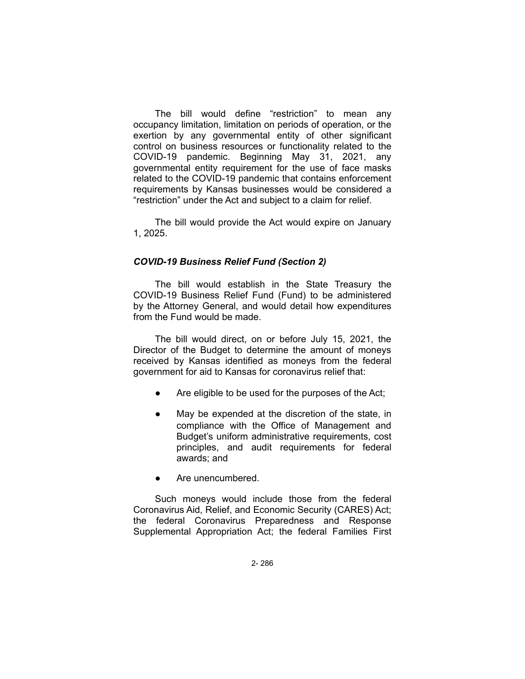The bill would define "restriction" to mean any occupancy limitation, limitation on periods of operation, or the exertion by any governmental entity of other significant control on business resources or functionality related to the COVID-19 pandemic. Beginning May 31, 2021, any governmental entity requirement for the use of face masks related to the COVID-19 pandemic that contains enforcement requirements by Kansas businesses would be considered a "restriction" under the Act and subject to a claim for relief.

The bill would provide the Act would expire on January 1, 2025.

# *COVID-19 Business Relief Fund (Section 2)*

The bill would establish in the State Treasury the COVID-19 Business Relief Fund (Fund) to be administered by the Attorney General, and would detail how expenditures from the Fund would be made.

The bill would direct, on or before July 15, 2021, the Director of the Budget to determine the amount of moneys received by Kansas identified as moneys from the federal government for aid to Kansas for coronavirus relief that:

- Are eligible to be used for the purposes of the Act;
- May be expended at the discretion of the state, in compliance with the Office of Management and Budget's uniform administrative requirements, cost principles, and audit requirements for federal awards; and
- Are unencumbered.

Such moneys would include those from the federal Coronavirus Aid, Relief, and Economic Security (CARES) Act; the federal Coronavirus Preparedness and Response Supplemental Appropriation Act; the federal Families First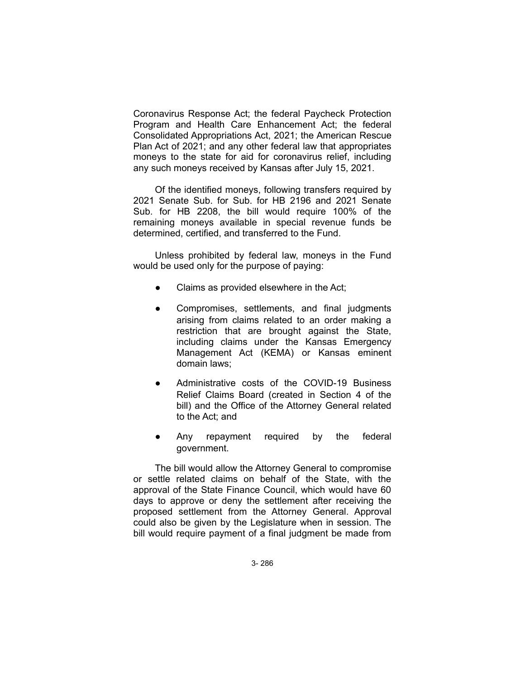Coronavirus Response Act; the federal Paycheck Protection Program and Health Care Enhancement Act; the federal Consolidated Appropriations Act, 2021; the American Rescue Plan Act of 2021; and any other federal law that appropriates moneys to the state for aid for coronavirus relief, including any such moneys received by Kansas after July 15, 2021.

Of the identified moneys, following transfers required by 2021 Senate Sub. for Sub. for HB 2196 and 2021 Senate Sub. for HB 2208, the bill would require 100% of the remaining moneys available in special revenue funds be determined, certified, and transferred to the Fund.

Unless prohibited by federal law, moneys in the Fund would be used only for the purpose of paying:

- Claims as provided elsewhere in the Act;
- Compromises, settlements, and final judgments arising from claims related to an order making a restriction that are brought against the State, including claims under the Kansas Emergency Management Act (KEMA) or Kansas eminent domain laws;
- Administrative costs of the COVID-19 Business Relief Claims Board (created in Section 4 of the bill) and the Office of the Attorney General related to the Act; and
- Any repayment required by the federal government.

The bill would allow the Attorney General to compromise or settle related claims on behalf of the State, with the approval of the State Finance Council, which would have 60 days to approve or deny the settlement after receiving the proposed settlement from the Attorney General. Approval could also be given by the Legislature when in session. The bill would require payment of a final judgment be made from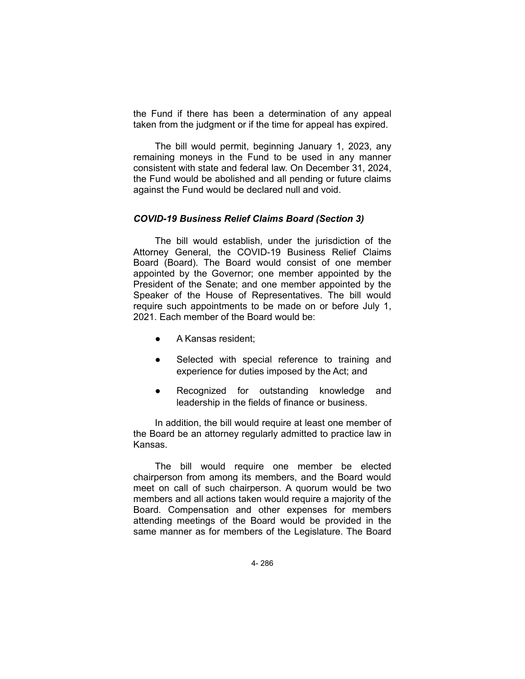the Fund if there has been a determination of any appeal taken from the judgment or if the time for appeal has expired.

The bill would permit, beginning January 1, 2023, any remaining moneys in the Fund to be used in any manner consistent with state and federal law. On December 31, 2024, the Fund would be abolished and all pending or future claims against the Fund would be declared null and void.

## *COVID-19 Business Relief Claims Board (Section 3)*

The bill would establish, under the jurisdiction of the Attorney General, the COVID-19 Business Relief Claims Board (Board). The Board would consist of one member appointed by the Governor; one member appointed by the President of the Senate; and one member appointed by the Speaker of the House of Representatives. The bill would require such appointments to be made on or before July 1, 2021. Each member of the Board would be:

- A Kansas resident:
- Selected with special reference to training and experience for duties imposed by the Act; and
- Recognized for outstanding knowledge and leadership in the fields of finance or business.

In addition, the bill would require at least one member of the Board be an attorney regularly admitted to practice law in Kansas.

The bill would require one member be elected chairperson from among its members, and the Board would meet on call of such chairperson. A quorum would be two members and all actions taken would require a majority of the Board. Compensation and other expenses for members attending meetings of the Board would be provided in the same manner as for members of the Legislature. The Board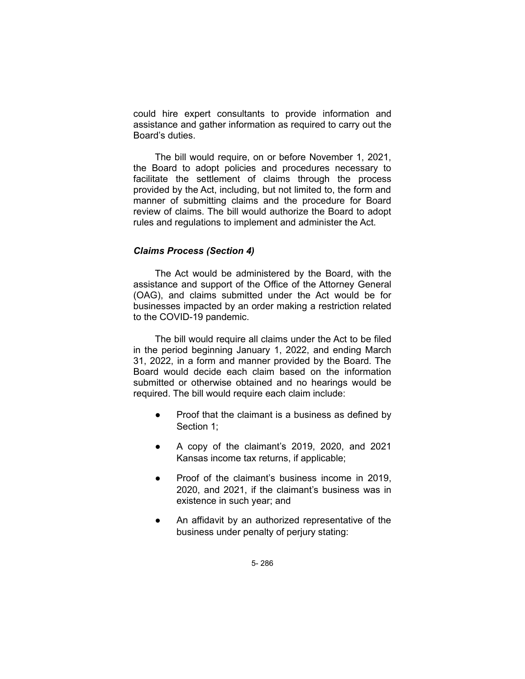could hire expert consultants to provide information and assistance and gather information as required to carry out the Board's duties.

The bill would require, on or before November 1, 2021, the Board to adopt policies and procedures necessary to facilitate the settlement of claims through the process provided by the Act, including, but not limited to, the form and manner of submitting claims and the procedure for Board review of claims. The bill would authorize the Board to adopt rules and regulations to implement and administer the Act.

# *Claims Process (Section 4)*

The Act would be administered by the Board, with the assistance and support of the Office of the Attorney General (OAG), and claims submitted under the Act would be for businesses impacted by an order making a restriction related to the COVID-19 pandemic.

The bill would require all claims under the Act to be filed in the period beginning January 1, 2022, and ending March 31, 2022, in a form and manner provided by the Board. The Board would decide each claim based on the information submitted or otherwise obtained and no hearings would be required. The bill would require each claim include:

- Proof that the claimant is a business as defined by Section 1;
- A copy of the claimant's 2019, 2020, and 2021 Kansas income tax returns, if applicable;
- Proof of the claimant's business income in 2019. 2020, and 2021, if the claimant's business was in existence in such year; and
- An affidavit by an authorized representative of the business under penalty of perjury stating: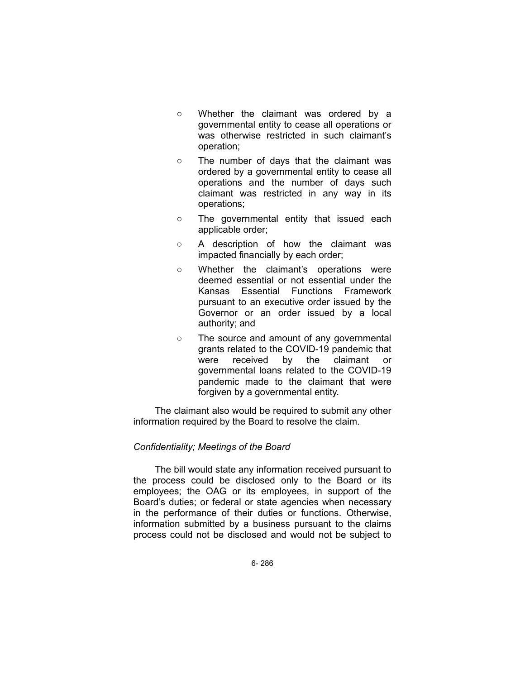- Whether the claimant was ordered by a governmental entity to cease all operations or was otherwise restricted in such claimant's operation;
- The number of days that the claimant was ordered by a governmental entity to cease all operations and the number of days such claimant was restricted in any way in its operations;
- The governmental entity that issued each applicable order;
- A description of how the claimant was impacted financially by each order;
- Whether the claimant's operations were deemed essential or not essential under the Kansas Essential Functions Framework pursuant to an executive order issued by the Governor or an order issued by a local authority; and
- The source and amount of any governmental grants related to the COVID-19 pandemic that were received by the claimant or governmental loans related to the COVID-19 pandemic made to the claimant that were forgiven by a governmental entity.

The claimant also would be required to submit any other information required by the Board to resolve the claim.

#### *Confidentiality; Meetings of the Board*

The bill would state any information received pursuant to the process could be disclosed only to the Board or its employees; the OAG or its employees, in support of the Board's duties; or federal or state agencies when necessary in the performance of their duties or functions. Otherwise, information submitted by a business pursuant to the claims process could not be disclosed and would not be subject to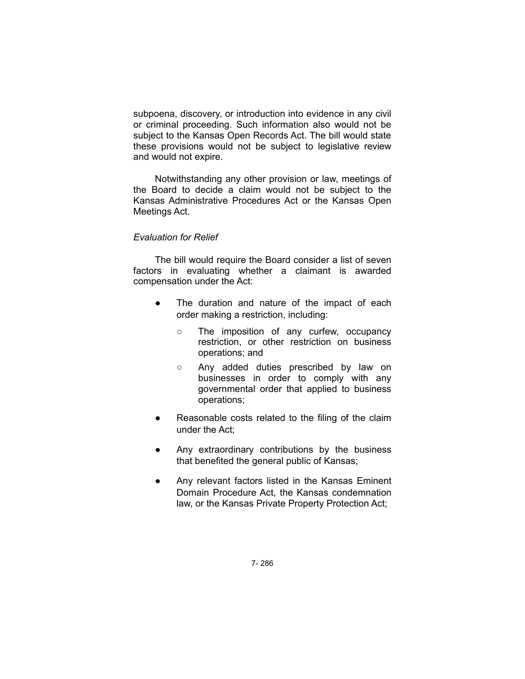subpoena, discovery, or introduction into evidence in any civil or criminal proceeding. Such information also would not be subject to the Kansas Open Records Act. The bill would state these provisions would not be subject to legislative review and would not expire.

Notwithstanding any other provision or law, meetings of the Board to decide a claim would not be subject to the Kansas Administrative Procedures Act or the Kansas Open Meetings Act.

# *Evaluation for Relief*

The bill would require the Board consider a list of seven factors in evaluating whether a claimant is awarded compensation under the Act:

- The duration and nature of the impact of each order making a restriction, including:
	- The imposition of any curfew, occupancy restriction, or other restriction on business operations; and
	- Any added duties prescribed by law on businesses in order to comply with any governmental order that applied to business operations;
- Reasonable costs related to the filing of the claim under the Act;
- Any extraordinary contributions by the business that benefited the general public of Kansas;
- Any relevant factors listed in the Kansas Eminent Domain Procedure Act, the Kansas condemnation law, or the Kansas Private Property Protection Act;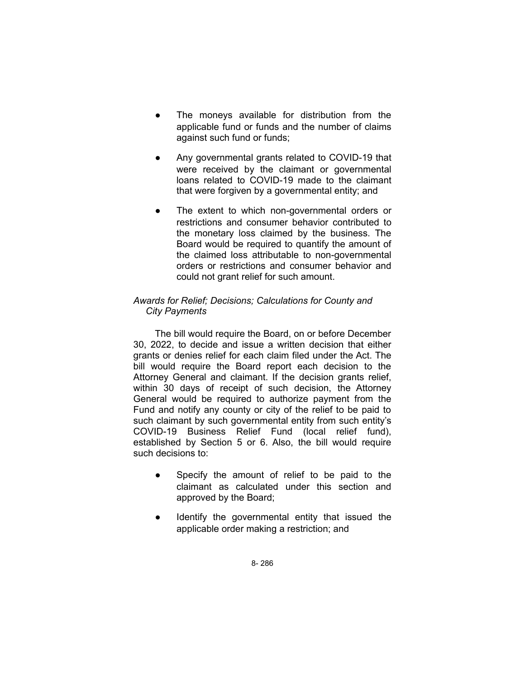- The moneys available for distribution from the applicable fund or funds and the number of claims against such fund or funds;
- Any governmental grants related to COVID-19 that were received by the claimant or governmental loans related to COVID-19 made to the claimant that were forgiven by a governmental entity; and
- The extent to which non-governmental orders or restrictions and consumer behavior contributed to the monetary loss claimed by the business. The Board would be required to quantify the amount of the claimed loss attributable to non-governmental orders or restrictions and consumer behavior and could not grant relief for such amount.

# *Awards for Relief; Decisions; Calculations for County and City Payments*

The bill would require the Board, on or before December 30, 2022, to decide and issue a written decision that either grants or denies relief for each claim filed under the Act. The bill would require the Board report each decision to the Attorney General and claimant. If the decision grants relief, within 30 days of receipt of such decision, the Attorney General would be required to authorize payment from the Fund and notify any county or city of the relief to be paid to such claimant by such governmental entity from such entity's COVID-19 Business Relief Fund (local relief fund), established by Section 5 or 6. Also, the bill would require such decisions to:

- Specify the amount of relief to be paid to the claimant as calculated under this section and approved by the Board;
- Identify the governmental entity that issued the applicable order making a restriction; and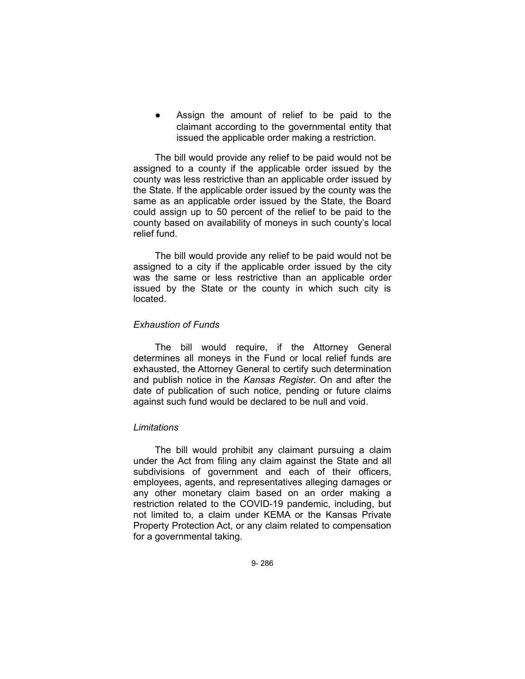Assign the amount of relief to be paid to the claimant according to the governmental entity that issued the applicable order making a restriction.

The bill would provide any relief to be paid would not be assigned to a county if the applicable order issued by the county was less restrictive than an applicable order issued by the State. If the applicable order issued by the county was the same as an applicable order issued by the State, the Board could assign up to 50 percent of the relief to be paid to the county based on availability of moneys in such county's local relief fund.

The bill would provide any relief to be paid would not be assigned to a city if the applicable order issued by the city was the same or less restrictive than an applicable order issued by the State or the county in which such city is located.

## *Exhaustion of Funds*

The bill would require, if the Attorney General determines all moneys in the Fund or local relief funds are exhausted, the Attorney General to certify such determination and publish notice in the *Kansas Register*. On and after the date of publication of such notice, pending or future claims against such fund would be declared to be null and void.

#### *Limitations*

The bill would prohibit any claimant pursuing a claim under the Act from filing any claim against the State and all subdivisions of government and each of their officers, employees, agents, and representatives alleging damages or any other monetary claim based on an order making a restriction related to the COVID-19 pandemic, including, but not limited to, a claim under KEMA or the Kansas Private Property Protection Act, or any claim related to compensation for a governmental taking.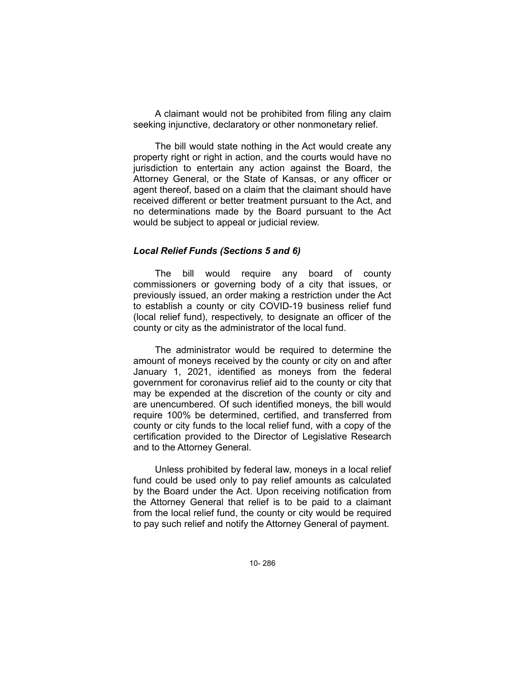A claimant would not be prohibited from filing any claim seeking injunctive, declaratory or other nonmonetary relief.

The bill would state nothing in the Act would create any property right or right in action, and the courts would have no jurisdiction to entertain any action against the Board, the Attorney General, or the State of Kansas, or any officer or agent thereof, based on a claim that the claimant should have received different or better treatment pursuant to the Act, and no determinations made by the Board pursuant to the Act would be subject to appeal or judicial review.

## *Local Relief Funds (Sections 5 and 6)*

The bill would require any board of county commissioners or governing body of a city that issues, or previously issued, an order making a restriction under the Act to establish a county or city COVID-19 business relief fund (local relief fund), respectively, to designate an officer of the county or city as the administrator of the local fund.

The administrator would be required to determine the amount of moneys received by the county or city on and after January 1, 2021, identified as moneys from the federal government for coronavirus relief aid to the county or city that may be expended at the discretion of the county or city and are unencumbered. Of such identified moneys, the bill would require 100% be determined, certified, and transferred from county or city funds to the local relief fund, with a copy of the certification provided to the Director of Legislative Research and to the Attorney General.

Unless prohibited by federal law, moneys in a local relief fund could be used only to pay relief amounts as calculated by the Board under the Act. Upon receiving notification from the Attorney General that relief is to be paid to a claimant from the local relief fund, the county or city would be required to pay such relief and notify the Attorney General of payment.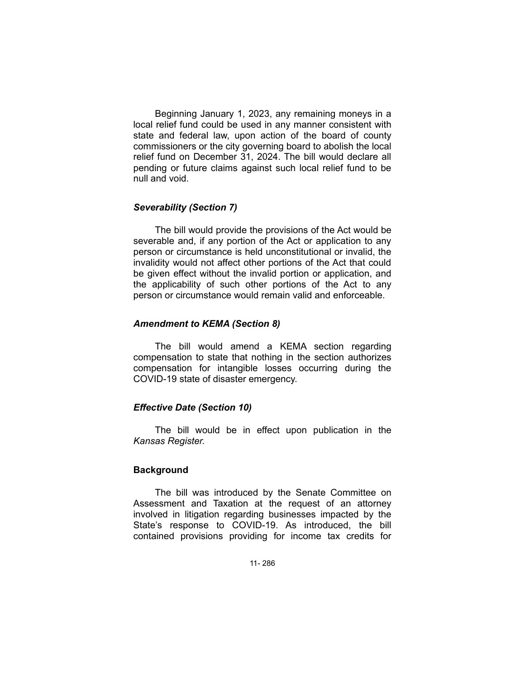Beginning January 1, 2023, any remaining moneys in a local relief fund could be used in any manner consistent with state and federal law, upon action of the board of county commissioners or the city governing board to abolish the local relief fund on December 31, 2024. The bill would declare all pending or future claims against such local relief fund to be null and void.

# *Severability (Section 7)*

The bill would provide the provisions of the Act would be severable and, if any portion of the Act or application to any person or circumstance is held unconstitutional or invalid, the invalidity would not affect other portions of the Act that could be given effect without the invalid portion or application, and the applicability of such other portions of the Act to any person or circumstance would remain valid and enforceable.

## *Amendment to KEMA (Section 8)*

The bill would amend a KEMA section regarding compensation to state that nothing in the section authorizes compensation for intangible losses occurring during the COVID-19 state of disaster emergency.

# *Effective Date (Section 10)*

The bill would be in effect upon publication in the *Kansas Register.*

# **Background**

The bill was introduced by the Senate Committee on Assessment and Taxation at the request of an attorney involved in litigation regarding businesses impacted by the State's response to COVID-19. As introduced, the bill contained provisions providing for income tax credits for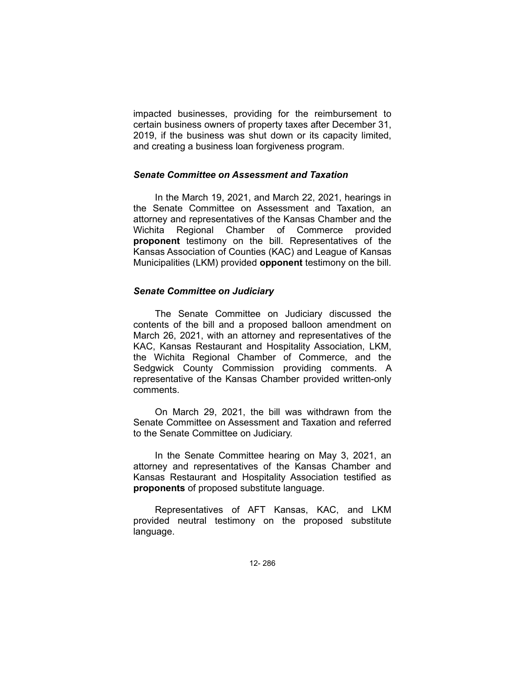impacted businesses, providing for the reimbursement to certain business owners of property taxes after December 31, 2019, if the business was shut down or its capacity limited, and creating a business loan forgiveness program.

#### *Senate Committee on Assessment and Taxation*

In the March 19, 2021, and March 22, 2021, hearings in the Senate Committee on Assessment and Taxation, an attorney and representatives of the Kansas Chamber and the Wichita Regional Chamber of Commerce provided **proponent** testimony on the bill. Representatives of the Kansas Association of Counties (KAC) and League of Kansas Municipalities (LKM) provided **opponent** testimony on the bill.

## *Senate Committee on Judiciary*

The Senate Committee on Judiciary discussed the contents of the bill and a proposed balloon amendment on March 26, 2021, with an attorney and representatives of the KAC, Kansas Restaurant and Hospitality Association, LKM, the Wichita Regional Chamber of Commerce, and the Sedgwick County Commission providing comments. A representative of the Kansas Chamber provided written-only comments.

On March 29, 2021, the bill was withdrawn from the Senate Committee on Assessment and Taxation and referred to the Senate Committee on Judiciary.

In the Senate Committee hearing on May 3, 2021, an attorney and representatives of the Kansas Chamber and Kansas Restaurant and Hospitality Association testified as **proponents** of proposed substitute language.

Representatives of AFT Kansas, KAC, and LKM provided neutral testimony on the proposed substitute language.